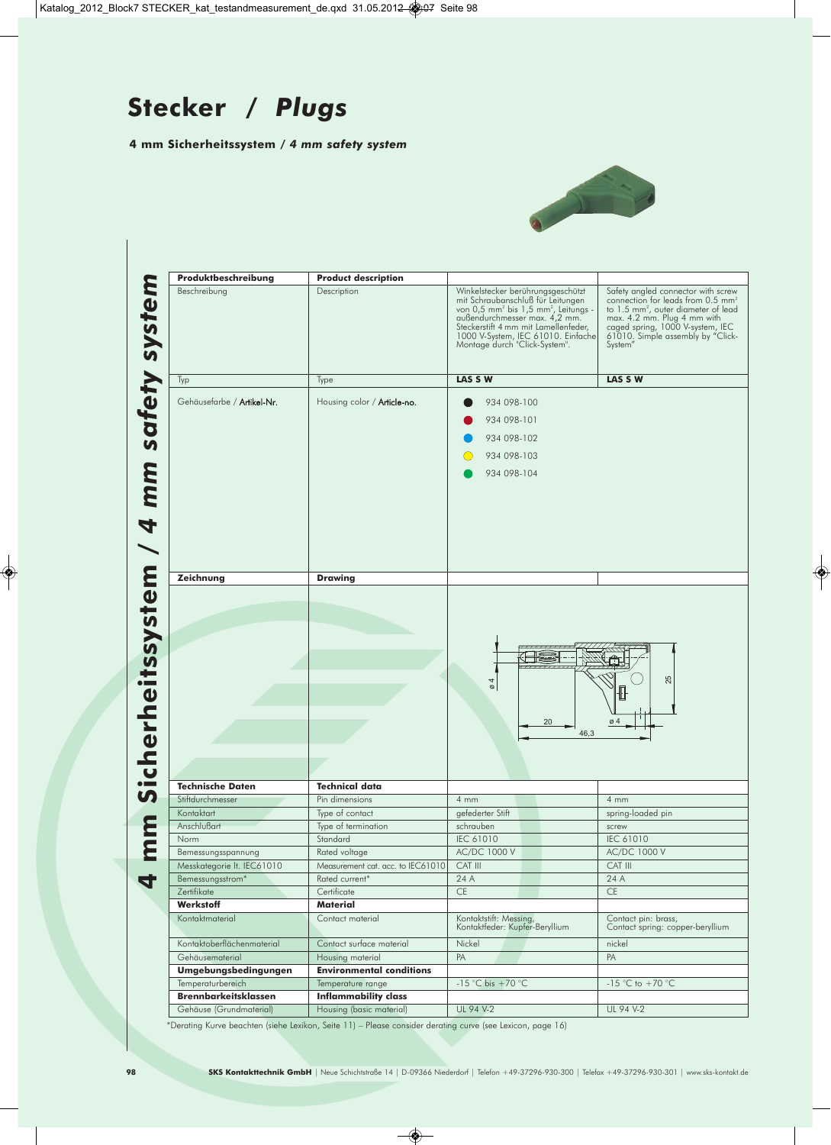## **Stecker /** *Plugs*

**4 mm Sicherheitssystem /** *4 mm safety system*



| Produktbeschreibung                       | <b>Product description</b>                       |                                                                                                                                                                                                                                                                                        |                                                                                                                                                                                                                                                           |
|-------------------------------------------|--------------------------------------------------|----------------------------------------------------------------------------------------------------------------------------------------------------------------------------------------------------------------------------------------------------------------------------------------|-----------------------------------------------------------------------------------------------------------------------------------------------------------------------------------------------------------------------------------------------------------|
| Beschreibung                              | Description                                      | Winkelstecker berührungsgeschützt<br>mit Schraubanschluß für Leitungen<br>von 0,5 mm <sup>2</sup> bis 1,5 mm <sup>2</sup> , Leitungs -<br>außendurchmesser max. 4,2 mm.<br>Steckerstift 4 mm mit Lamellenfeder,<br>1000 V-System, IEC 61010. Einfache<br>Montage durch "Click-System". | Safety angled connector with screw<br>connection for leads from 0.5 mm <sup>2</sup><br>to 1.5 mm <sup>2</sup> , outer diameter of lead<br>max. 4.2 mm. Plug 4 mm with<br>caged spring, 1000 V-system, IEC<br>61010. Simple assembly by "Click-<br>System" |
| Typ                                       | Type                                             | LAS S W                                                                                                                                                                                                                                                                                | LAS S W                                                                                                                                                                                                                                                   |
|                                           |                                                  |                                                                                                                                                                                                                                                                                        |                                                                                                                                                                                                                                                           |
| Gehäusefarbe / Artikel-Nr.                | Housing color / Article-no.                      | 934 098-100                                                                                                                                                                                                                                                                            |                                                                                                                                                                                                                                                           |
|                                           |                                                  | 934 098-101                                                                                                                                                                                                                                                                            |                                                                                                                                                                                                                                                           |
|                                           |                                                  | 934 098-102                                                                                                                                                                                                                                                                            |                                                                                                                                                                                                                                                           |
|                                           |                                                  | 934 098-103                                                                                                                                                                                                                                                                            |                                                                                                                                                                                                                                                           |
|                                           |                                                  | 934 098-104                                                                                                                                                                                                                                                                            |                                                                                                                                                                                                                                                           |
|                                           |                                                  |                                                                                                                                                                                                                                                                                        |                                                                                                                                                                                                                                                           |
|                                           |                                                  |                                                                                                                                                                                                                                                                                        |                                                                                                                                                                                                                                                           |
|                                           |                                                  |                                                                                                                                                                                                                                                                                        |                                                                                                                                                                                                                                                           |
|                                           |                                                  |                                                                                                                                                                                                                                                                                        |                                                                                                                                                                                                                                                           |
|                                           |                                                  |                                                                                                                                                                                                                                                                                        |                                                                                                                                                                                                                                                           |
|                                           |                                                  |                                                                                                                                                                                                                                                                                        |                                                                                                                                                                                                                                                           |
|                                           |                                                  |                                                                                                                                                                                                                                                                                        |                                                                                                                                                                                                                                                           |
| Zeichnung                                 | <b>Drawing</b>                                   |                                                                                                                                                                                                                                                                                        |                                                                                                                                                                                                                                                           |
|                                           |                                                  |                                                                                                                                                                                                                                                                                        |                                                                                                                                                                                                                                                           |
|                                           |                                                  |                                                                                                                                                                                                                                                                                        |                                                                                                                                                                                                                                                           |
|                                           |                                                  |                                                                                                                                                                                                                                                                                        |                                                                                                                                                                                                                                                           |
|                                           |                                                  |                                                                                                                                                                                                                                                                                        |                                                                                                                                                                                                                                                           |
|                                           |                                                  |                                                                                                                                                                                                                                                                                        |                                                                                                                                                                                                                                                           |
|                                           |                                                  |                                                                                                                                                                                                                                                                                        |                                                                                                                                                                                                                                                           |
|                                           |                                                  |                                                                                                                                                                                                                                                                                        |                                                                                                                                                                                                                                                           |
|                                           |                                                  |                                                                                                                                                                                                                                                                                        | 25                                                                                                                                                                                                                                                        |
|                                           |                                                  | $\frac{4}{9}$                                                                                                                                                                                                                                                                          |                                                                                                                                                                                                                                                           |
|                                           |                                                  |                                                                                                                                                                                                                                                                                        |                                                                                                                                                                                                                                                           |
|                                           |                                                  | 20                                                                                                                                                                                                                                                                                     | $\varnothing$ 4                                                                                                                                                                                                                                           |
|                                           |                                                  | 46,3                                                                                                                                                                                                                                                                                   |                                                                                                                                                                                                                                                           |
|                                           |                                                  |                                                                                                                                                                                                                                                                                        |                                                                                                                                                                                                                                                           |
|                                           |                                                  |                                                                                                                                                                                                                                                                                        |                                                                                                                                                                                                                                                           |
|                                           |                                                  |                                                                                                                                                                                                                                                                                        |                                                                                                                                                                                                                                                           |
| <b>Technische Daten</b>                   | <b>Technical data</b>                            |                                                                                                                                                                                                                                                                                        |                                                                                                                                                                                                                                                           |
| Stiftdurchmesser<br>Kontaktart            | Pin dimensions                                   | $4 \, \text{mm}$                                                                                                                                                                                                                                                                       | $4 \, \text{mm}$                                                                                                                                                                                                                                          |
|                                           | Type of contact                                  | gefederter Stift                                                                                                                                                                                                                                                                       | spring-loaded pin                                                                                                                                                                                                                                         |
| Anschlußart<br>Norm                       | Type of termination<br>Standard                  | schrauben<br>IEC 61010                                                                                                                                                                                                                                                                 | screw<br>IEC 61010                                                                                                                                                                                                                                        |
| Bemessungsspannung                        | Rated voltage                                    | AC/DC 1000 V                                                                                                                                                                                                                                                                           | AC/DC 1000 V                                                                                                                                                                                                                                              |
| Messkategorie lt. IEC61010                | Measurement cat. acc. to IEC61010                | CAT III                                                                                                                                                                                                                                                                                | CAT III                                                                                                                                                                                                                                                   |
| Bemessungsstrom*                          | Rated current*                                   | 24 A                                                                                                                                                                                                                                                                                   | 24 A                                                                                                                                                                                                                                                      |
| Zertifikate                               | Certificate                                      | CE                                                                                                                                                                                                                                                                                     | CE                                                                                                                                                                                                                                                        |
| Werkstoff                                 | <b>Material</b>                                  |                                                                                                                                                                                                                                                                                        |                                                                                                                                                                                                                                                           |
| Kontaktmaterial                           | Contact material                                 | Kontaktstift: Messing,                                                                                                                                                                                                                                                                 | Contact pin: brass,                                                                                                                                                                                                                                       |
|                                           |                                                  | Kontaktfeder: Kupfer-Beryllium                                                                                                                                                                                                                                                         | Contact spring: copper-beryllium                                                                                                                                                                                                                          |
| Kontaktoberflächenmaterial                | Contact surface material                         | Nickel                                                                                                                                                                                                                                                                                 | nickel                                                                                                                                                                                                                                                    |
| Gehäusematerial                           | Housing material                                 | PA                                                                                                                                                                                                                                                                                     | PA                                                                                                                                                                                                                                                        |
| Umgebungsbedingungen<br>Temperaturbereich | <b>Environmental conditions</b>                  |                                                                                                                                                                                                                                                                                        | $-15$ °C to $+70$ °C                                                                                                                                                                                                                                      |
| <b>Brennbarkeitsklassen</b>               | Temperature range<br><b>Inflammability class</b> | -15 °C bis +70 °C                                                                                                                                                                                                                                                                      |                                                                                                                                                                                                                                                           |

\*Derating Kurve beachten (siehe Lexikon, Seite 11) – Please consider derating curve (see Lexicon, page 16)